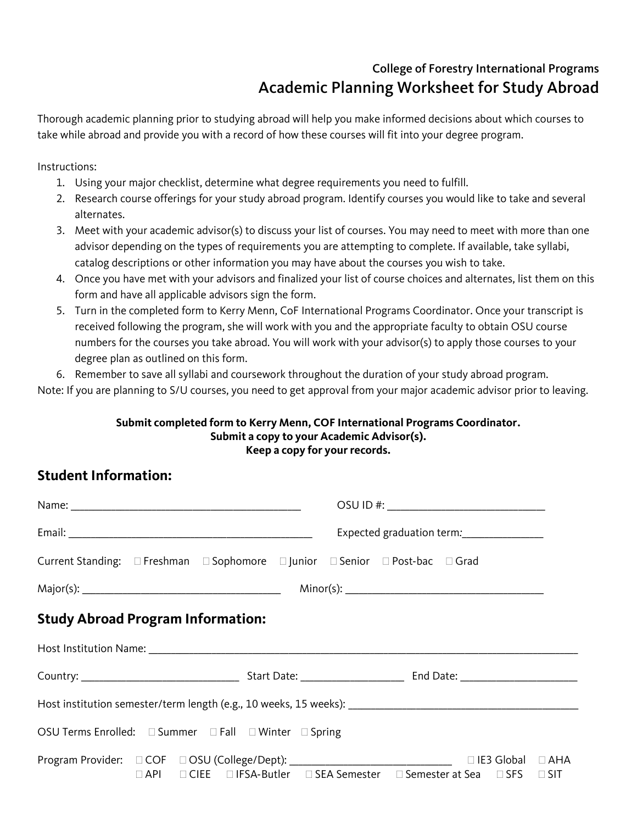## College of Forestry International Programs Academic Planning Worksheet for Study Abroad

Thorough academic planning prior to studying abroad will help you make informed decisions about which courses to take while abroad and provide you with a record of how these courses will fit into your degree program.

Instructions:

- 1. Using your major checklist, determine what degree requirements you need to fulfill.
- 2. Research course offerings for your study abroad program. Identify courses you would like to take and several alternates.
- 3. Meet with your academic advisor(s) to discuss your list of courses. You may need to meet with more than one advisor depending on the types of requirements you are attempting to complete. If available, take syllabi, catalog descriptions or other information you may have about the courses you wish to take.
- 4. Once you have met with your advisors and finalized your list of course choices and alternates, list them on this form and have all applicable advisors sign the form.
- 5. Turn in the completed form to Kerry Menn, CoF International Programs Coordinator. Once your transcript is received following the program, she will work with you and the appropriate faculty to obtain OSU course numbers for the courses you take abroad. You will work with your advisor(s) to apply those courses to your degree plan as outlined on this form.
- 6. Remember to save all syllabi and coursework throughout the duration of your study abroad program.

Note: If you are planning to S/U courses, you need to get approval from your major academic advisor prior to leaving.

## **Submit completed form to Kerry Menn, COF International Programs Coordinator. Submit a copy to your Academic Advisor(s). Keep a copy for your records.**

## **Student Information:**

|                                                       |  |  |                                                                                                                                                                                | OSU ID #: ________________________________ |  |  |  |  |  |  |
|-------------------------------------------------------|--|--|--------------------------------------------------------------------------------------------------------------------------------------------------------------------------------|--------------------------------------------|--|--|--|--|--|--|
|                                                       |  |  |                                                                                                                                                                                | Expected graduation term: _______________  |  |  |  |  |  |  |
|                                                       |  |  | Current Standing: □ Freshman □ Sophomore □ Junior □ Senior □ Post-bac □ Grad                                                                                                   |                                            |  |  |  |  |  |  |
|                                                       |  |  |                                                                                                                                                                                |                                            |  |  |  |  |  |  |
| <b>Study Abroad Program Information:</b>              |  |  |                                                                                                                                                                                |                                            |  |  |  |  |  |  |
|                                                       |  |  |                                                                                                                                                                                |                                            |  |  |  |  |  |  |
|                                                       |  |  |                                                                                                                                                                                |                                            |  |  |  |  |  |  |
|                                                       |  |  |                                                                                                                                                                                |                                            |  |  |  |  |  |  |
| OSU Terms Enrolled: □ Summer □ Fall □ Winter □ Spring |  |  |                                                                                                                                                                                |                                            |  |  |  |  |  |  |
|                                                       |  |  | Program Provider: □ COF □ OSU (College/Dept): __________________________________ □ IE3 Global □ AHA<br>□ API □ CIEE □ IFSA-Butler □ SEA Semester □ Semester at Sea □ SFS □ SIT |                                            |  |  |  |  |  |  |